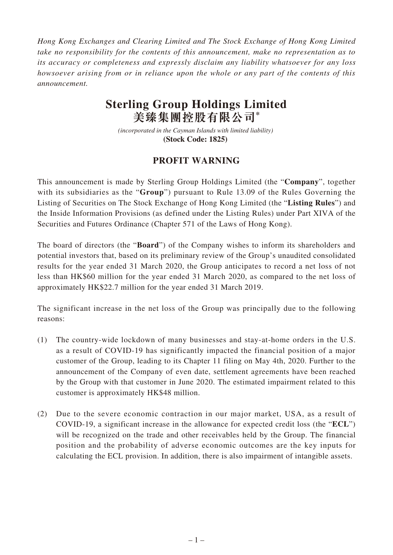*Hong Kong Exchanges and Clearing Limited and The Stock Exchange of Hong Kong Limited take no responsibility for the contents of this announcement, make no representation as to its accuracy or completeness and expressly disclaim any liability whatsoever for any loss howsoever arising from or in reliance upon the whole or any part of the contents of this announcement.*

## **Sterling Group Holdings Limited 美臻集團控股有限公司\***

*(incorporated in the Cayman Islands with limited liability)*  **(Stock Code: 1825)** 

## **PROFIT WARNING**

This announcement is made by Sterling Group Holdings Limited (the "**Company**", together with its subsidiaries as the "**Group**") pursuant to Rule 13.09 of the Rules Governing the Listing of Securities on The Stock Exchange of Hong Kong Limited (the "**Listing Rules**") and the Inside Information Provisions (as defined under the Listing Rules) under Part XIVA of the Securities and Futures Ordinance (Chapter 571 of the Laws of Hong Kong).

The board of directors (the "**Board**") of the Company wishes to inform its shareholders and potential investors that, based on its preliminary review of the Group's unaudited consolidated results for the year ended 31 March 2020, the Group anticipates to record a net loss of not less than HK\$60 million for the year ended 31 March 2020, as compared to the net loss of approximately HK\$22.7 million for the year ended 31 March 2019.

The significant increase in the net loss of the Group was principally due to the following reasons:

- (1) The country-wide lockdown of many businesses and stay-at-home orders in the U.S. as a result of COVID-19 has significantly impacted the financial position of a major customer of the Group, leading to its Chapter 11 filing on May 4th, 2020. Further to the announcement of the Company of even date, settlement agreements have been reached by the Group with that customer in June 2020. The estimated impairment related to this customer is approximately HK\$48 million.
- (2) Due to the severe economic contraction in our major market, USA, as a result of COVID-19, a significant increase in the allowance for expected credit loss (the "**ECL**") will be recognized on the trade and other receivables held by the Group. The financial position and the probability of adverse economic outcomes are the key inputs for calculating the ECL provision. In addition, there is also impairment of intangible assets.